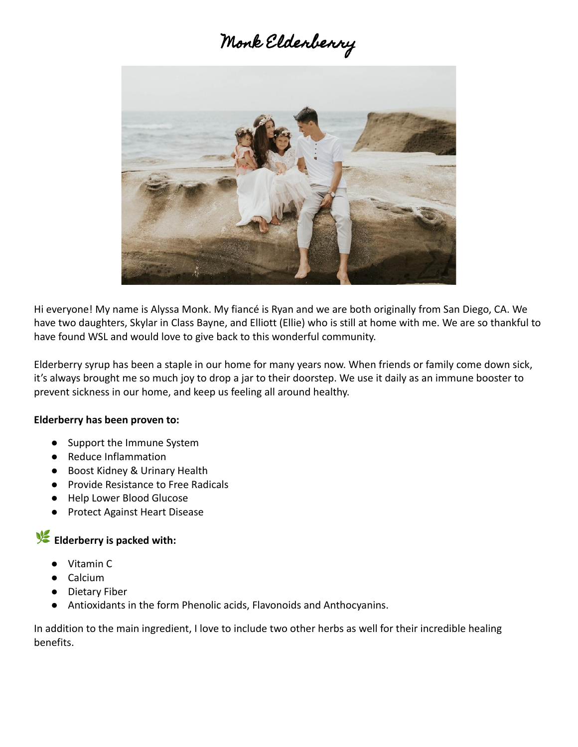# Monk Elderberry



Hi everyone! My name is Alyssa Monk. My fiancé is Ryan and we are both originally from San Diego, CA. We have two daughters, Skylar in Class Bayne, and Elliott (Ellie) who is still at home with me. We are so thankful to have found WSL and would love to give back to this wonderful community.

Elderberry syrup has been a staple in our home for many years now. When friends or family come down sick, it's always brought me so much joy to drop a jar to their doorstep. We use it daily as an immune booster to prevent sickness in our home, and keep us feeling all around healthy.

#### **Elderberry has been proven to:**

- Support the Immune System
- Reduce Inflammation
- Boost Kidney & Urinary Health
- Provide Resistance to Free Radicals
- Help Lower Blood Glucose
- Protect Against Heart Disease

## **Elderberry is packed with:**

- Vitamin C
- Calcium
- Dietary Fiber
- Antioxidants in the form Phenolic acids, Flavonoids and Anthocyanins.

In addition to the main ingredient, I love to include two other herbs as well for their incredible healing benefits.